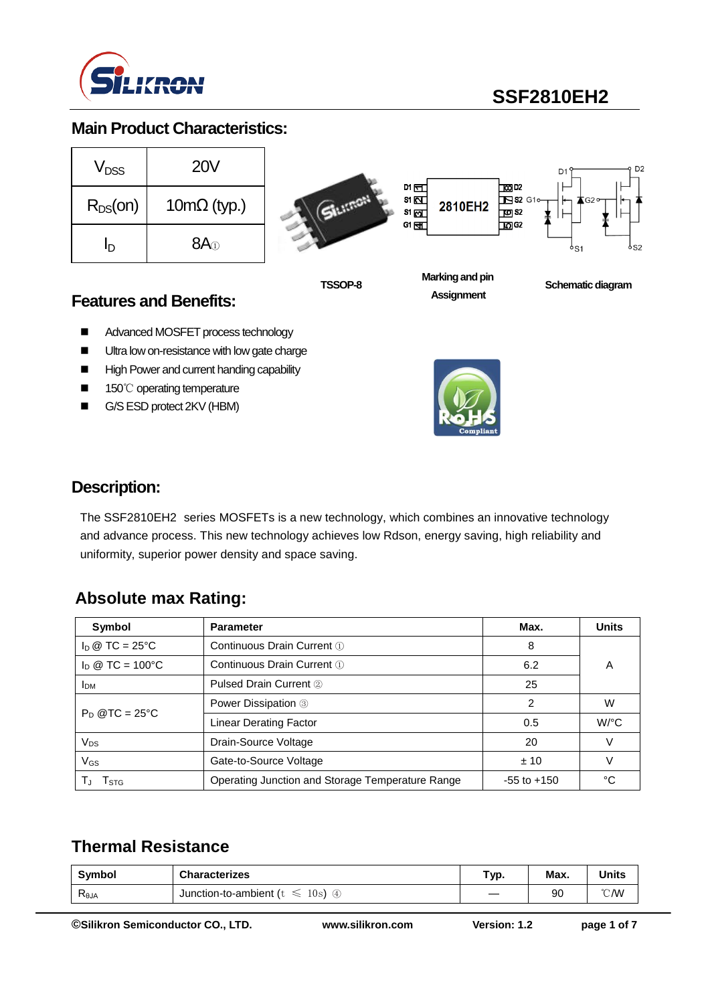

# **SSF2810EH2**

### **Main Product Characteristics:**

| V <sub>DSS</sub> | <b>20V</b>                 |
|------------------|----------------------------|
| $R_{DS}(on)$     | $10 \text{m}\Omega$ (typ.) |
| ln               | 8A <sub>0</sub>            |





**TSSOP-8**

**Marking and pin Assignment**

**Schematic diagram** 

D<sub>2</sub>

### **Features and Benefits:**

- Advanced MOSFET process technology
- **Ultra low on-resistance with low gate charge**
- High Power and current handing capability
- 150℃ operating temperature
- G/S ESD protect 2KV (HBM)



### **Description:**

The SSF2810EH2 series MOSFETs is a new technology, which combines an innovative technology and advance process. This new technology achieves low Rdson, energy saving, high reliability and uniformity, superior power density and space saving.

### **Absolute max Rating:**

| Symbol                                                  | <b>Parameter</b>                                 | Max.            | <b>Units</b> |
|---------------------------------------------------------|--------------------------------------------------|-----------------|--------------|
| $I_D \otimes TC = 25^{\circ}C$                          | Continuous Drain Current 1                       | 8               |              |
| $I_D \otimes TC = 100^{\circ}C$                         | Continuous Drain Current 1                       |                 | Α            |
| <b>Pulsed Drain Current 2</b><br><b>I</b> <sub>DM</sub> |                                                  | 25              |              |
| $P_D @TC = 25^{\circ}C$                                 | <b>Power Dissipation 3</b>                       | 2               | W            |
|                                                         | <b>Linear Derating Factor</b>                    | 0.5             | $W$ /°C      |
| $V_{DS}$                                                | Drain-Source Voltage                             | 20              |              |
| $V_{GS}$                                                | Gate-to-Source Voltage                           | ±10             |              |
| I stg                                                   | Operating Junction and Storage Temperature Range | $-55$ to $+150$ | °C           |

### **Thermal Resistance**

| Symbol | <b>Characterizes</b>                                   | Typ. | Max. | Units          |
|--------|--------------------------------------------------------|------|------|----------------|
| Reja   | 10s<br>Junction-to-ambient ( $t \leq$<br>$\circled{4}$ | __   | 90   | $^{\circ}$ CMV |

**©Silikron Semiconductor CO., LTD. www.silikron.com Version: 1.2 page 1 of 7**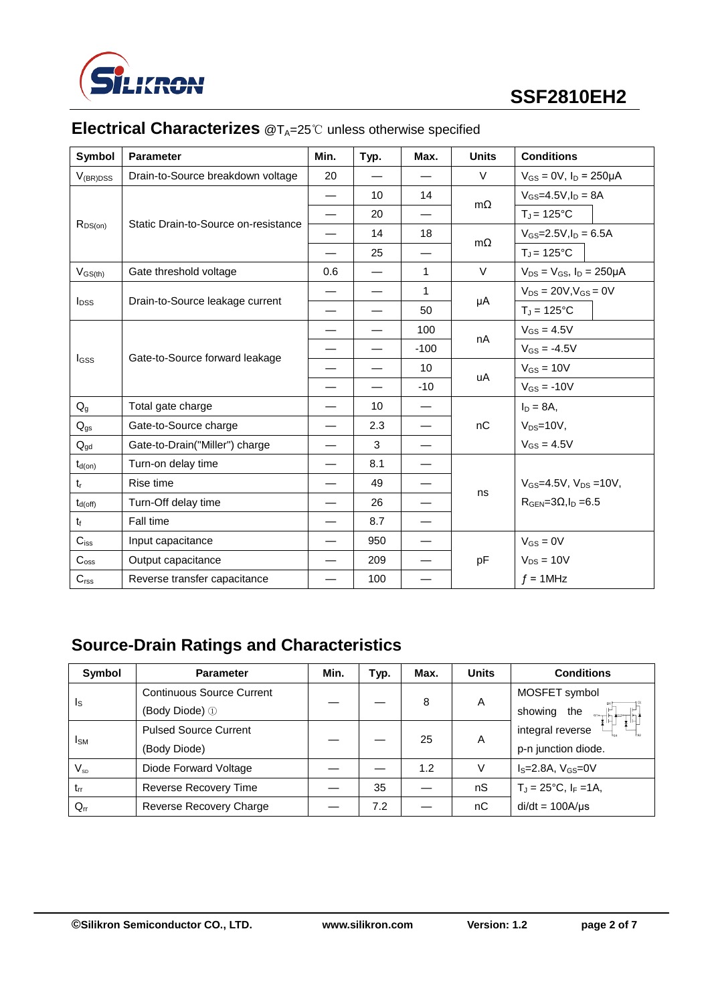

# **SSF2810EH2**

| <b>Symbol</b>    | <b>Parameter</b>                            | Min.                     | Typ.                     | Max.                     | <b>Units</b> | <b>Conditions</b>                     |
|------------------|---------------------------------------------|--------------------------|--------------------------|--------------------------|--------------|---------------------------------------|
| $V_{(BR)DSS}$    | Drain-to-Source breakdown voltage           | 20                       |                          |                          | $\vee$       | $V_{GS} = 0V$ , $I_D = 250 \mu A$     |
|                  |                                             | $\overline{\phantom{0}}$ | 10 <sup>1</sup>          | 14                       |              | $V_{GS} = 4.5V \cdot \ln = 8A$        |
|                  |                                             |                          | 20                       |                          | $m\Omega$    | $T_J = 125$ °C                        |
| $R_{DS(on)}$     | Static Drain-to-Source on-resistance        |                          | 14                       | 18                       |              | $V_{GS} = 2.5 V, I_D = 6.5 A$         |
|                  |                                             |                          | 25                       |                          | $m\Omega$    | $T_J = 125$ °C                        |
| $V_{GS(th)}$     | Gate threshold voltage                      | 0.6                      |                          | 1                        | $\vee$       | $V_{DS} = V_{GS}$ , $I_D = 250 \mu A$ |
|                  |                                             |                          |                          | $\mathbf{1}$             |              | $V_{DS} = 20V, V_{GS} = 0V$           |
| $I_{\text{DSS}}$ | Drain-to-Source leakage current             |                          |                          | 50                       | μA           | $T_J = 125$ °C                        |
|                  |                                             | $\overline{\phantom{0}}$ | $\overline{\phantom{0}}$ | 100                      |              | $V_{GS} = 4.5V$                       |
|                  | Gate-to-Source forward leakage<br>$I_{GSS}$ | $\overline{\phantom{0}}$ | $\overline{\phantom{0}}$ | $-100$                   | nA           | $V_{GS} = -4.5V$                      |
|                  |                                             |                          |                          | 10                       | uA           | $V_{GS} = 10V$                        |
|                  |                                             |                          |                          | $-10$                    |              | $V_{GS} = -10V$                       |
| $Q_{q}$          | Total gate charge                           |                          | 10 <sup>1</sup>          | $\overline{\phantom{m}}$ |              | $I_D = 8A$ ,                          |
| $Q_{gs}$         | Gate-to-Source charge                       |                          | 2.3                      |                          | nC           | $V_{DS}=10V$ ,                        |
| $Q_{gd}$         | Gate-to-Drain("Miller") charge              |                          | 3                        |                          |              | $V_{GS} = 4.5V$                       |
| $t_{d(on)}$      | Turn-on delay time                          |                          | 8.1                      |                          |              |                                       |
| $t_r$            | Rise time                                   |                          | 49                       |                          |              | $V_{GS} = 4.5V$ , $V_{DS} = 10V$ ,    |
| $t_{d(off)}$     | Turn-Off delay time                         |                          | 26                       |                          | ns           | $RGEN=3\Omega, I_D =6.5$              |
| $t_f$            | Fall time                                   |                          | 8.7                      |                          |              |                                       |
| $C_{\text{iss}}$ | Input capacitance                           |                          | 950                      | $\overline{\phantom{0}}$ |              | $V_{GS} = 0V$                         |
| $C_{\text{oss}}$ | Output capacitance                          |                          | 209                      |                          | pF           | $V_{DS} = 10V$                        |
| $C_{\text{rss}}$ | Reverse transfer capacitance                |                          | 100                      |                          |              | $f = 1$ MHz                           |

# **Electrical Characterizes** @T<sub>A</sub>=25℃ unless otherwise specified

## **Source-Drain Ratings and Characteristics**

| Symbol                  | <b>Parameter</b>                 | Min. | Typ. | Max. | <b>Units</b> | <b>Conditions</b>                  |
|-------------------------|----------------------------------|------|------|------|--------------|------------------------------------|
| $\mathsf{I}_\mathsf{S}$ | <b>Continuous Source Current</b> |      |      | 8    | A            | MOSFET symbol                      |
|                         | (Body Diode) ①                   |      |      |      |              | showing the                        |
| <b>I</b> <sub>SM</sub>  | <b>Pulsed Source Current</b>     |      |      | 25   | A            | integral reverse                   |
|                         | (Body Diode)                     |      |      |      |              | p-n junction diode.                |
| $V_{SD}$                | Diode Forward Voltage            |      |      | 1.2  | V            | $IS=2.8A, VGS=0V$                  |
| $t_{rr}$                | Reverse Recovery Time            |      | 35   |      | nS           | $T_J = 25^{\circ}C$ , $I_F = 1A$ , |
| $Q_{rr}$                | Reverse Recovery Charge          |      | 7.2  |      | nC           | $di/dt = 100A/\mu s$               |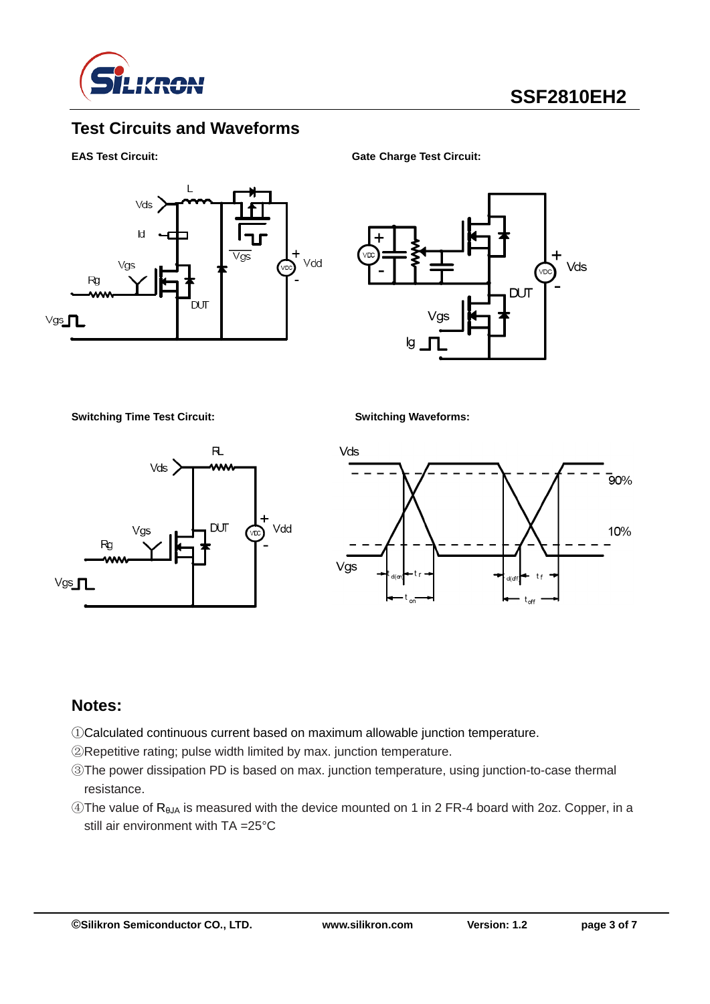

### **Test Circuits and Waveforms**

**EAS Test Circuit: Gate Charge Test Circuit:**



Vds **DUT** 

**Switching Time Test Circuit: Switching Waveforms:**





### **Notes:**

- ①Calculated continuous current based on maximum allowable junction temperature.
- ②Repetitive rating; pulse width limited by max. junction temperature.
- ③The power dissipation PD is based on max. junction temperature, using junction-to-case thermal resistance.
- $\circledA$ The value of R<sub>θJA</sub> is measured with the device mounted on 1 in 2 FR-4 board with 2oz. Copper, in a still air environment with TA =25°C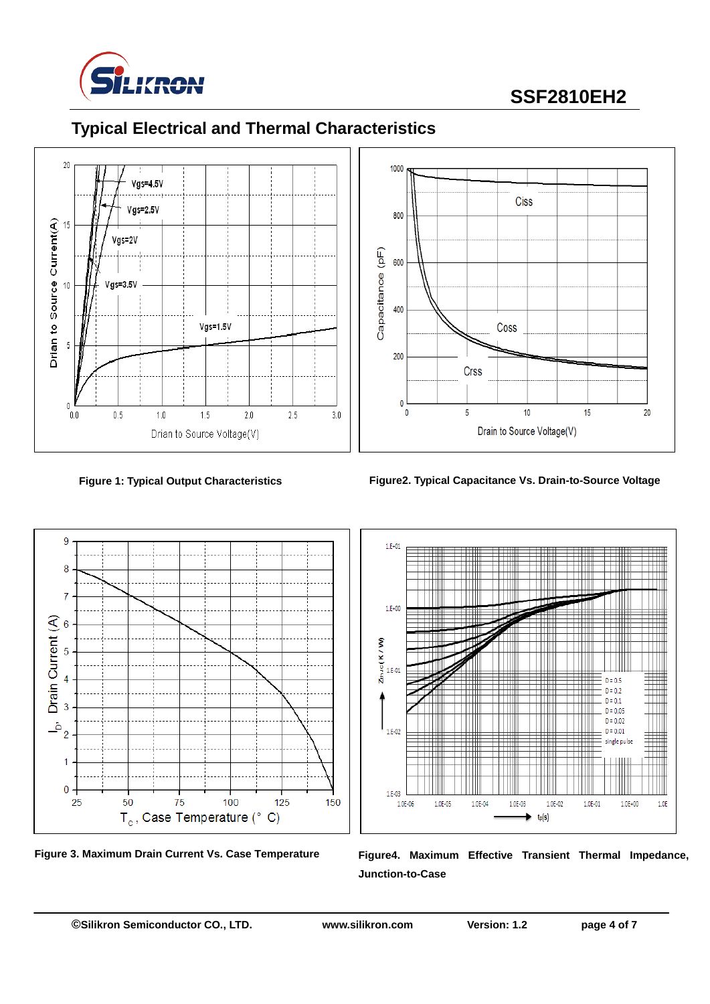

# **SSF2810EH2**





# **Typical Electrical and Thermal Characteristics**



**Figure 1: Typical Output Characteristics Figure2. Typical Capacitance Vs. Drain-to-Source Voltage**







Figure 3. Maximum Drain Current Vs. Case Temperature Figure4. Maximum Effective Transient Thermal Impedance, **Junction-to-Case**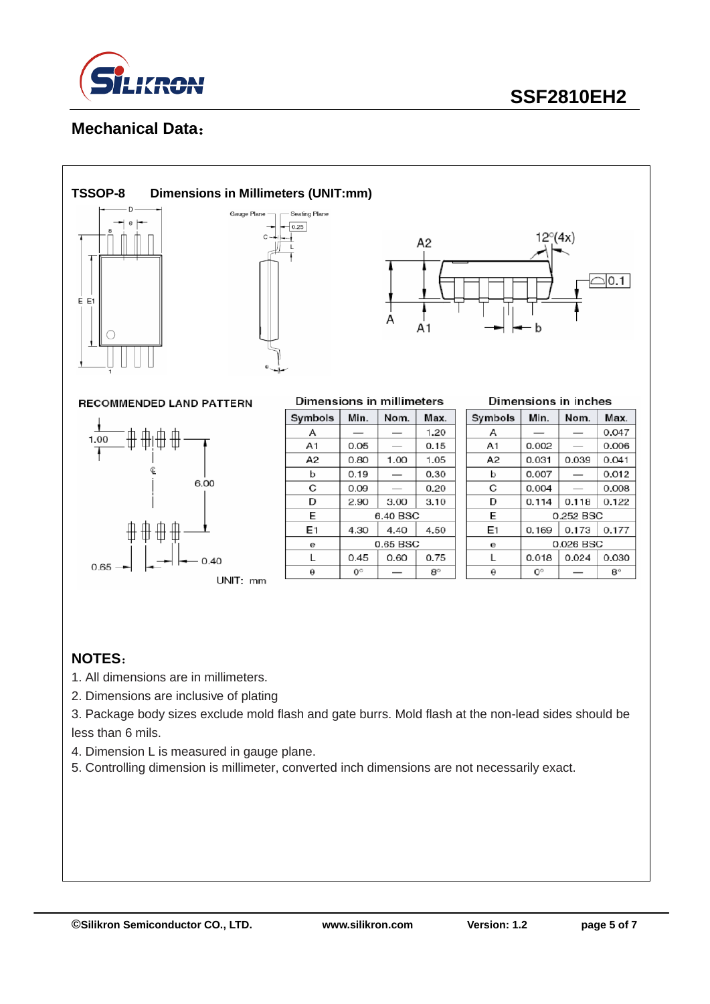

### **Mechanical Data**:



#### **TSSOP-8 Dimensions in Millimeters (UNIT:mm)**





**RECOMMENDED LAND PATTERN** 



| Dimensions in millimeters |           |          |           |  |  |
|---------------------------|-----------|----------|-----------|--|--|
| Symbols                   | Min.      | Nom.     | Max.      |  |  |
| А                         |           |          | 1.20      |  |  |
| A <sub>1</sub>            | 0.05      |          | 0.15      |  |  |
| A2                        | 0.80      | 1.00     | 1.05      |  |  |
| b                         | 0.19      |          | 0.30      |  |  |
| C                         | 0.09      |          | 0.20      |  |  |
| D                         | 2.90      | 3.00     | 3.10      |  |  |
| E                         |           | 6.40 BSC |           |  |  |
| E1                        | 4.30      | 4.40     | 4.50      |  |  |
| е                         | 0.65 BSC  |          |           |  |  |
| L                         | 0.45      | 0.60     | 0.75      |  |  |
| θ                         | $0^\circ$ |          | $8^\circ$ |  |  |

| Dimensions in inches |  |  |
|----------------------|--|--|

| Symbols | Min.        | Nom.      | Max.        |  |
|---------|-------------|-----------|-------------|--|
| А       |             |           | 0.047       |  |
| A1      | 0.002       |           | 0.006       |  |
| A2      | 0.031       | 0.039     | 0.041       |  |
| b       | 0.007       | _         | 0.012       |  |
| C       | 0.004       |           | 0.008       |  |
| D       | 0.114       | 0.118     | 0.122       |  |
| E       |             | 0.252 BSC |             |  |
| E1      | 0.169       | 0.173     | 0.177       |  |
| θ       | 0.026 BSC   |           |             |  |
| L       | 0.018       | 0.024     | 0.030       |  |
| θ       | $O^{\circ}$ |           | $8^{\circ}$ |  |

#### **NOTES**:

- 1. All dimensions are in millimeters.
- 2. Dimensions are inclusive of plating
- 3. Package body sizes exclude mold flash and gate burrs. Mold flash at the non-lead sides should be less than 6 mils.
- 4. Dimension L is measured in gauge plane.
- 5. Controlling dimension is millimeter, converted inch dimensions are not necessarily exact.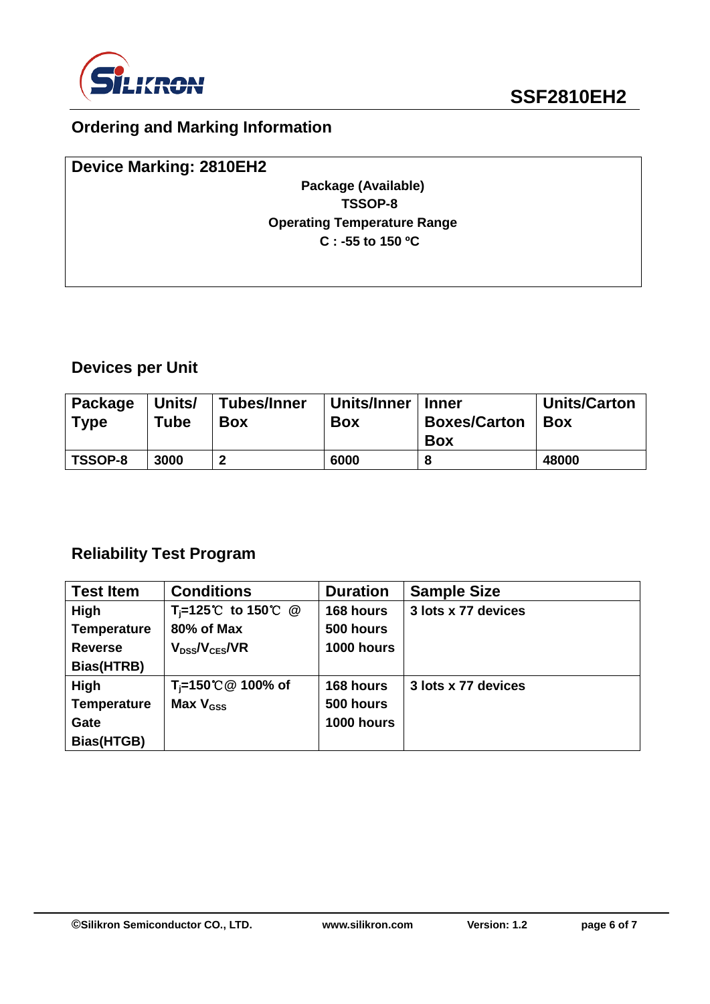

## **Ordering and Marking Information**

| <b>Device Marking: 2810EH2</b>     |  |
|------------------------------------|--|
| Package (Available)                |  |
| TSSOP-8                            |  |
| <b>Operating Temperature Range</b> |  |
| $C: -55$ to 150 °C                 |  |
|                                    |  |
|                                    |  |

# **Devices per Unit**

| Package<br><b>Type</b> | Units/<br>Tube | <b>Tubes/Inner</b><br><b>Box</b> | Units/Inner<br><b>Box</b> | <b>Inner</b><br><b>Boxes/Carton</b><br><b>Box</b> | <b>Units/Carton</b><br><b>Box</b> |
|------------------------|----------------|----------------------------------|---------------------------|---------------------------------------------------|-----------------------------------|
| <b>TSSOP-8</b>         | 3000           |                                  | 6000                      |                                                   | 48000                             |

## **Reliability Test Program**

| <b>Test Item</b>   | <b>Conditions</b>              | <b>Duration</b> | <b>Sample Size</b>  |
|--------------------|--------------------------------|-----------------|---------------------|
| High               | T <sub>i</sub> =125℃ to 150℃ @ | 168 hours       | 3 lots x 77 devices |
| <b>Temperature</b> | 80% of Max                     | 500 hours       |                     |
| <b>Reverse</b>     | $V_{DS}$ / $V_{CES}$ /VR       | 1000 hours      |                     |
| Bias(HTRB)         |                                |                 |                     |
| High               | T <sub>i</sub> =150℃ @ 100% of | 168 hours       | 3 lots x 77 devices |
| <b>Temperature</b> | Max $V_{\text{GSS}}$           | 500 hours       |                     |
| Gate               |                                | 1000 hours      |                     |
| Bias(HTGB)         |                                |                 |                     |